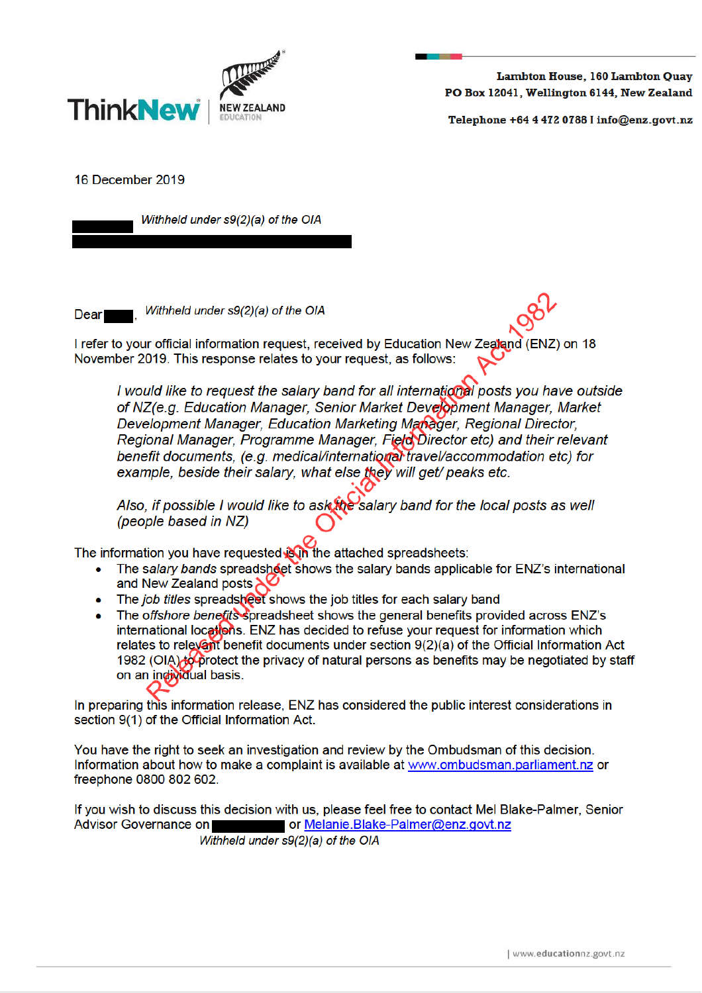

Lambton House, 160 Lambton Quay PO Box 12041, Wellington 6144, New Zealand

Telephone +64 4 472 0788 I info@enz.govt.nz

16 December 2019

Withheld under s9(2)(a) of the OIA

**Dear** 

Withheld under s9(2)(a) of the OIA

I refer to your official information request, received by Education New Zealand (ENZ) on 18 November 2019. This response relates to your request, as follows:

I would like to request the salary band for all international posts you have outside of NZ(e.g. Education Manager, Senior Market Development Manager, Market Development Manager, Education Marketing Manager, Regional Director, Regional Manager, Programme Manager, Field Director etc) and their relevant benefit documents, (e.g. medical/international travel/accommodation etc) for example, beside their salary, what else they will get/ peaks etc.

Also, if possible I would like to ask the salary band for the local posts as well (people based in NZ)

The information you have requested Sin the attached spreadsheets:

- The salary bands spreadsheet shows the salary bands applicable for ENZ's international and New Zealand posts
- The job titles spreadsheet shows the job titles for each salary band
- The offshore benefits spreadsheet shows the general benefits provided across ENZ's international locations. ENZ has decided to refuse your request for information which relates to relevant benefit documents under section 9(2)(a) of the Official Information Act 1982 (OIA) to protect the privacy of natural persons as benefits may be negotiated by staff on an individual basis.

In preparing this information release, ENZ has considered the public interest considerations in section 9(1) of the Official Information Act.

You have the right to seek an investigation and review by the Ombudsman of this decision. Information about how to make a complaint is available at www.ombudsman.parliament.nz or freephone 0800 802 602.

If you wish to discuss this decision with us, please feel free to contact Mel Blake-Palmer, Senior Advisor Governance on or Melanie.Blake-Palmer@enz.govt.nz

Withheld under s9(2)(a) of the OIA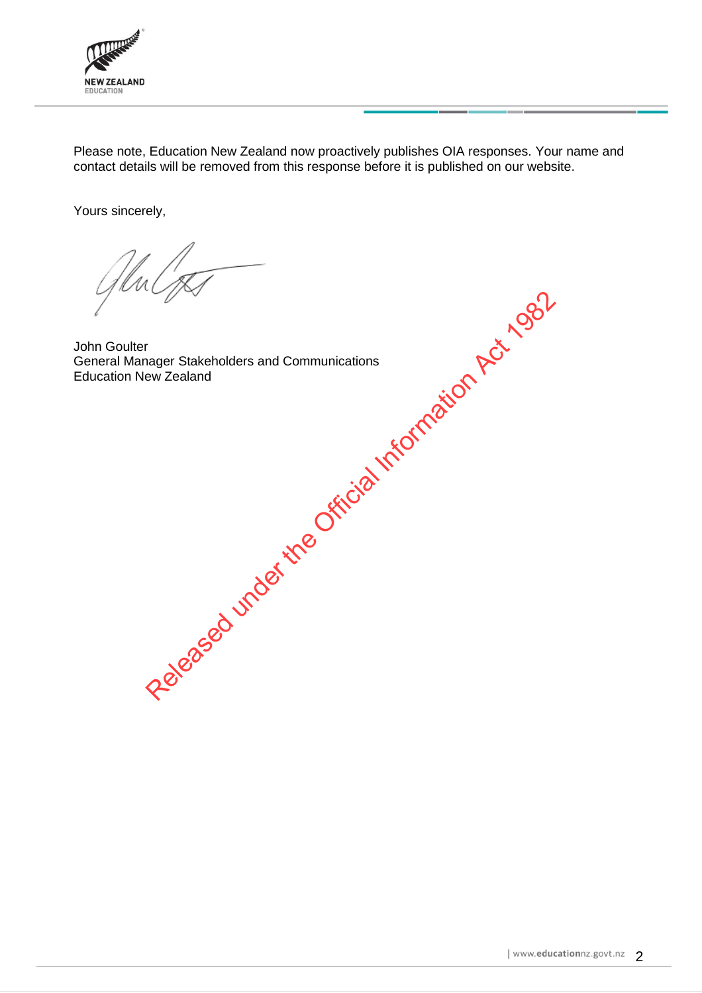

Please note, Education New Zealand now proactively publishes OIA responses. Your name and contact details will be removed from this response before it is published on our website.

Yours sincerely,

John Goulter General Manager Stakeholders and Communications Education New Zealand

Contract under Stakeholders and Communications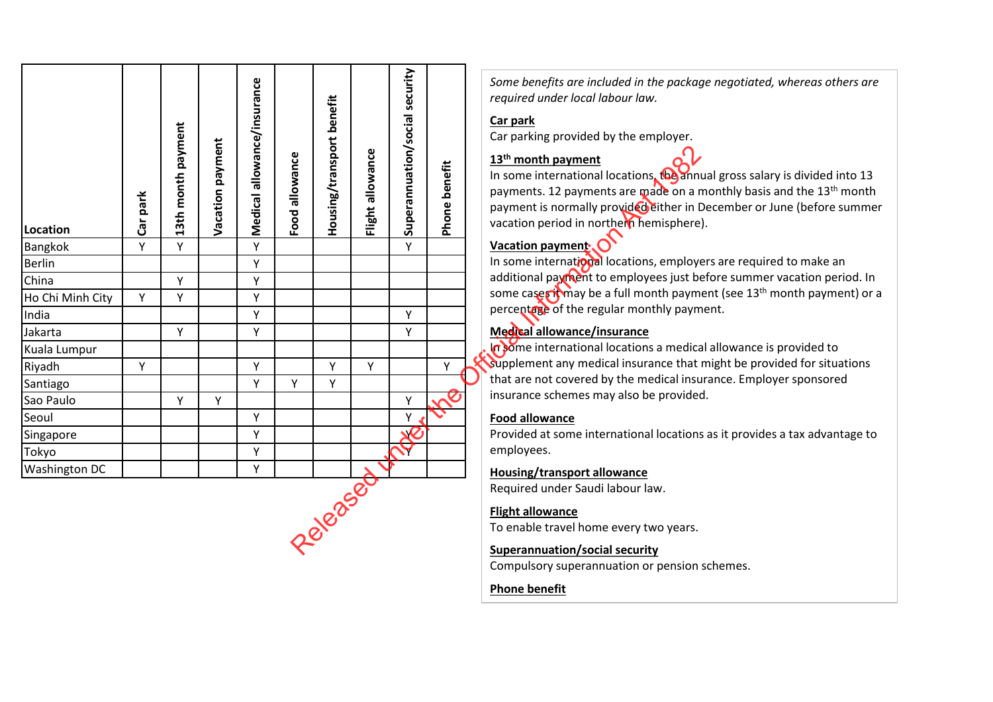| Location             | Car park | 3th month payment<br>$\blacksquare$ | Vacation payment | Medical allowance/insurance | Food allowance | Housing/transport benefit | Flight allowance | Superannuation/social security | benefit<br>Phone | Some benefits are included in the packad<br>required under local labour law.<br>Car park<br>Car parking provided by the employer.<br>13 <sup>th</sup> month payment<br>In some international locations, the anni<br>payments. 12 payments are made on a r<br>payment is normally provided either in I<br>vacation period in northern hemisphere |
|----------------------|----------|-------------------------------------|------------------|-----------------------------|----------------|---------------------------|------------------|--------------------------------|------------------|-------------------------------------------------------------------------------------------------------------------------------------------------------------------------------------------------------------------------------------------------------------------------------------------------------------------------------------------------|
| Bangkok              | Υ        | Y                                   |                  | Υ                           |                |                           |                  | Y                              |                  | Vacation payment                                                                                                                                                                                                                                                                                                                                |
| <b>Berlin</b>        |          |                                     |                  | Υ                           |                |                           |                  |                                |                  | In some international locations, employe                                                                                                                                                                                                                                                                                                        |
| China                |          | Y                                   |                  | Y                           |                |                           |                  |                                |                  | additional payment to employees just be                                                                                                                                                                                                                                                                                                         |
| Ho Chi Minh City     | Y        | Y                                   |                  | Y                           |                |                           |                  |                                |                  | some cases it may be a full month paym                                                                                                                                                                                                                                                                                                          |
| India                |          |                                     |                  | Υ                           |                |                           |                  | Y                              |                  | percentage of the regular monthly paym                                                                                                                                                                                                                                                                                                          |
| Jakarta              |          | Υ                                   |                  | Y                           |                |                           |                  | Y                              |                  | Medical allowance/insurance                                                                                                                                                                                                                                                                                                                     |
| Kuala Lumpur         |          |                                     |                  |                             |                |                           |                  |                                |                  | In some international locations a medica                                                                                                                                                                                                                                                                                                        |
| Riyadh               | Y        |                                     |                  | Y                           |                | Υ                         | Y                |                                | Y                | supplement any medical insurance that                                                                                                                                                                                                                                                                                                           |
| Santiago             |          |                                     |                  | Y                           | Y              | Y                         |                  |                                |                  | that are not covered by the medical insu                                                                                                                                                                                                                                                                                                        |
| Sao Paulo            |          | Y                                   | Y                |                             |                |                           |                  | Υ                              | $\sim$           | insurance schemes may also be provided                                                                                                                                                                                                                                                                                                          |
| Seoul                |          |                                     |                  | Υ                           |                |                           |                  | Υ                              |                  | <b>Food allowance</b>                                                                                                                                                                                                                                                                                                                           |
| Singapore            |          |                                     |                  | Υ                           |                |                           |                  | X                              |                  | Provided at some international locations                                                                                                                                                                                                                                                                                                        |
| Tokyo                |          |                                     |                  | Υ                           |                |                           |                  |                                |                  | employees.                                                                                                                                                                                                                                                                                                                                      |
| <b>Washington DC</b> |          |                                     |                  | Y                           |                |                           |                  |                                |                  | <b>Housing/transport allowance</b>                                                                                                                                                                                                                                                                                                              |
|                      |          |                                     |                  |                             |                |                           |                  |                                |                  | Required under Saudi labour law.                                                                                                                                                                                                                                                                                                                |
|                      |          |                                     |                  |                             |                |                           |                  |                                |                  | <b>Flight allowance</b><br>To enable travel home every two years.<br><b>Superannuation/social security</b>                                                                                                                                                                                                                                      |

*Some benefits are included in the package negotiated, whereas others are required under local labour law.*

#### **Car park**

## **13th month payment**

In some international locations, the annual gross salary is divided into 13 payments. 12 payments are made on a monthly basis and the 13th month payment is normally provided either in December or June (before summer vacation period in northern hemisphere).

# **Vacation payment**

In some international locations, employers are required to make an additional payment to employees just before summer vacation period. In some cases it may be a full month payment (see 13<sup>th</sup> month payment) or a percentage of the regular monthly payment.

## **Medical allowance/insurance**

In some international locations a medical allowance is provided to supplement any medical insurance that might be provided for situations that are not covered by the medical insurance. Employer sponsored insurance schemes may also be provided.

### **Food allowance**

Provided at some international locations as it provides a tax advantage to employees.

### **Housing/transport allowance**

## **Flight allowance**

### **Superannuation/social security**

Compulsory superannuation or pension schemes.

## **Phone benefit**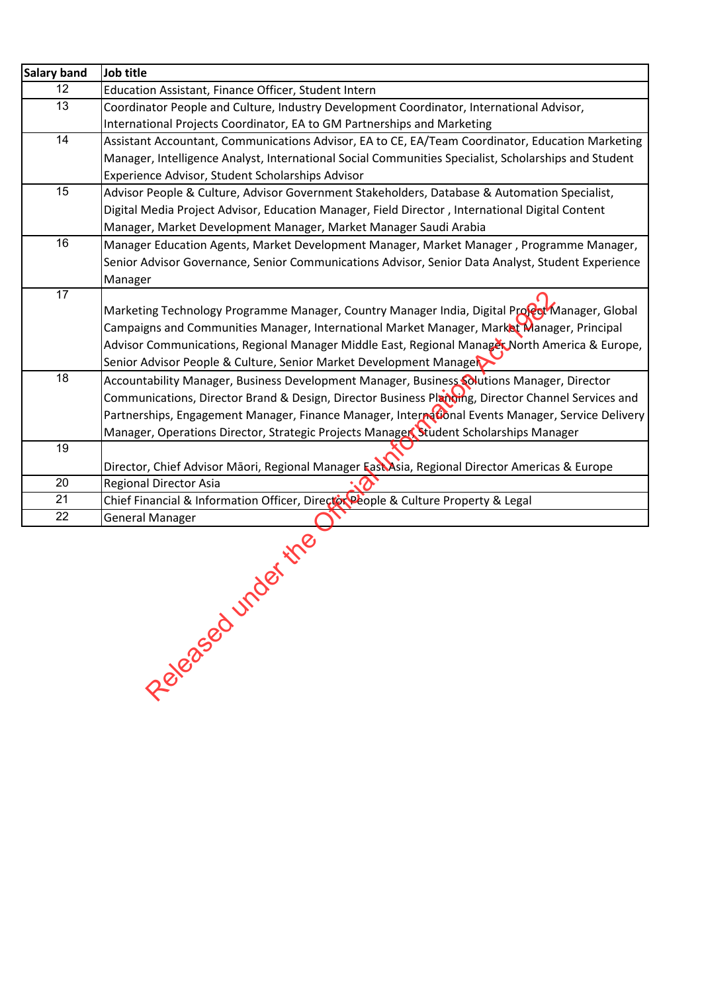| <b>Salary band</b> | Job title                                                                                            |
|--------------------|------------------------------------------------------------------------------------------------------|
| 12                 | Education Assistant, Finance Officer, Student Intern                                                 |
| 13                 | Coordinator People and Culture, Industry Development Coordinator, International Advisor,             |
|                    | International Projects Coordinator, EA to GM Partnerships and Marketing                              |
| 14                 | Assistant Accountant, Communications Advisor, EA to CE, EA/Team Coordinator, Education Marketing     |
|                    | Manager, Intelligence Analyst, International Social Communities Specialist, Scholarships and Student |
|                    | Experience Advisor, Student Scholarships Advisor                                                     |
| 15                 | Advisor People & Culture, Advisor Government Stakeholders, Database & Automation Specialist,         |
|                    | Digital Media Project Advisor, Education Manager, Field Director, International Digital Content      |
|                    | Manager, Market Development Manager, Market Manager Saudi Arabia                                     |
| 16                 | Manager Education Agents, Market Development Manager, Market Manager, Programme Manager,             |
|                    | Senior Advisor Governance, Senior Communications Advisor, Senior Data Analyst, Student Experience    |
|                    | Manager                                                                                              |
| 17                 |                                                                                                      |
|                    | Marketing Technology Programme Manager, Country Manager India, Digital Propert Manager, Global       |
|                    | Campaigns and Communities Manager, International Market Manager, Market Manager, Principal           |
|                    | Advisor Communications, Regional Manager Middle East, Regional Manager North America & Europe,       |
|                    | Senior Advisor People & Culture, Senior Market Development Manage                                    |
| 18                 | Accountability Manager, Business Development Manager, Business Solutions Manager, Director           |
|                    | Communications, Director Brand & Design, Director Business Planging, Director Channel Services and   |
|                    | Partnerships, Engagement Manager, Finance Manager, International Events Manager, Service Delivery    |
|                    | Manager, Operations Director, Strategic Projects Manager, Student Scholarships Manager               |
| 19                 |                                                                                                      |
|                    | Director, Chief Advisor Māori, Regional Manager FastAsia, Regional Director Americas & Europe        |
| 20                 | Regional Director Asia                                                                               |
| 21                 | Chief Financial & Information Officer, Director People & Culture Property & Legal                    |
| 22                 | <b>General Manager</b>                                                                               |
|                    | ler the<br>Released und                                                                              |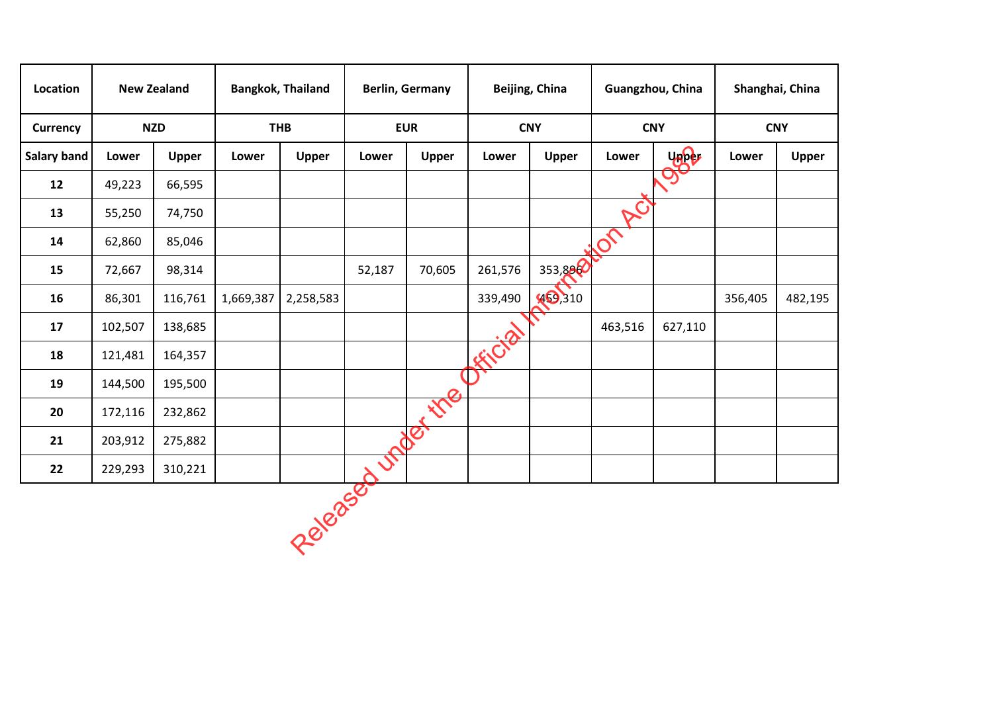| Location    | <b>New Zealand</b>    |         | <b>Bangkok, Thailand</b> |              | <b>Berlin, Germany</b> |              |                       | <b>Beijing, China</b> | Guangzhou, China         |                       | Shanghai, China |         |
|-------------|-----------------------|---------|--------------------------|--------------|------------------------|--------------|-----------------------|-----------------------|--------------------------|-----------------------|-----------------|---------|
| Currency    | <b>NZD</b>            |         | <b>THB</b>               |              | <b>EUR</b>             |              | <b>CNY</b>            |                       | <b>CNY</b>               |                       | <b>CNY</b>      |         |
| Salary band | <b>Upper</b><br>Lower |         | Lower                    | <b>Upper</b> | Lower                  | <b>Upper</b> | Lower<br><b>Upper</b> |                       | Lower                    | yaper                 | Lower           | Upper   |
| 12          | 49,223                | 66,595  |                          |              |                        |              |                       |                       |                          | $\tilde{\mathcal{O}}$ |                 |         |
| 13          | 55,250                | 74,750  |                          |              |                        |              |                       |                       | RC                       |                       |                 |         |
| 14          | 62,860                | 85,046  |                          |              |                        |              |                       |                       | $\overline{\mathcal{O}}$ |                       |                 |         |
| 15          | 72,667                | 98,314  |                          |              | 52,187                 | 70,605       | 261,576               | 353,888               |                          |                       |                 |         |
| 16          | 86,301                | 116,761 | 1,669,387                | 2,258,583    |                        |              | 339,490               | 469,310               |                          |                       | 356,405         | 482,195 |
| 17          | 102,507               | 138,685 |                          |              |                        |              |                       |                       | 463,516                  | 627,110               |                 |         |
| 18          | 121,481               | 164,357 |                          |              |                        |              | EFFE                  |                       |                          |                       |                 |         |
| 19          | 144,500               | 195,500 |                          |              |                        |              |                       |                       |                          |                       |                 |         |
| 20          | 172,116               | 232,862 |                          |              |                        | tre          |                       |                       |                          |                       |                 |         |
| 21          | 203,912               | 275,882 |                          |              |                        | Be           |                       |                       |                          |                       |                 |         |
| 22          | 229,293               | 310,221 |                          |              | JP                     |              |                       |                       |                          |                       |                 |         |
|             |                       |         |                          | Released     |                        |              |                       |                       |                          |                       |                 |         |
|             |                       |         |                          |              |                        |              |                       |                       |                          |                       |                 |         |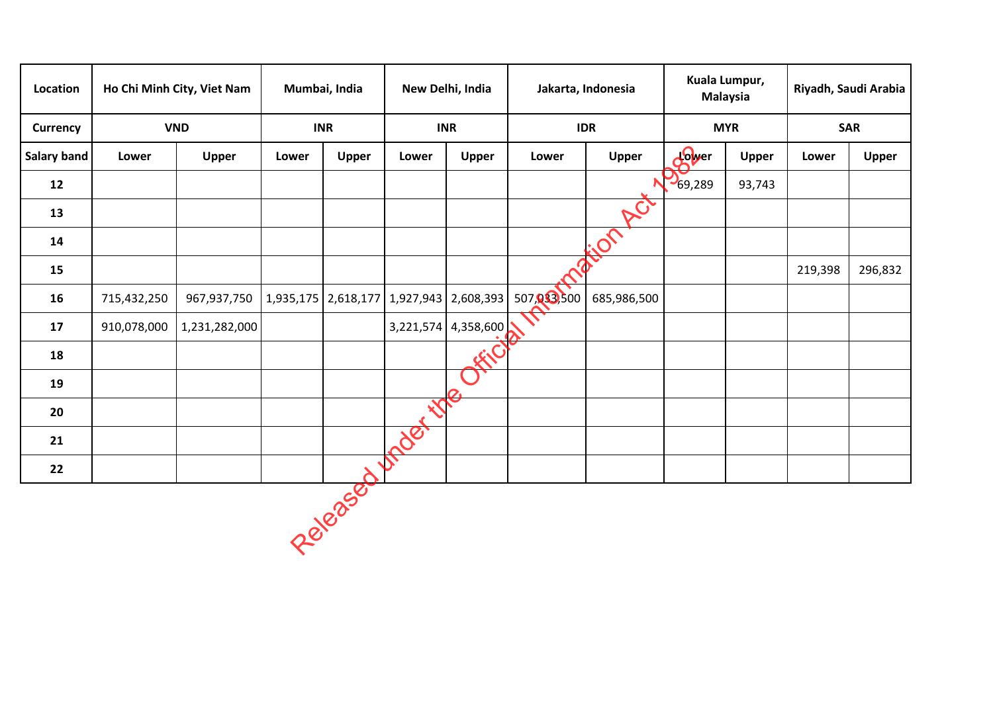| Location    |                       | Ho Chi Minh City, Viet Nam | Mumbai, India |                                               | New Delhi, India         |                     |            | Jakarta, Indonesia       | Kuala Lumpur,<br><b>Malaysia</b> |              | Riyadh, Saudi Arabia |              |
|-------------|-----------------------|----------------------------|---------------|-----------------------------------------------|--------------------------|---------------------|------------|--------------------------|----------------------------------|--------------|----------------------|--------------|
| Currency    | <b>VND</b>            |                            | <b>INR</b>    |                                               | <b>INR</b>               |                     |            | <b>IDR</b>               | <b>MYR</b>                       |              | <b>SAR</b>           |              |
| Salary band | <b>Upper</b><br>Lower |                            | Lower         | <b>Upper</b>                                  | Lower                    | Upper               | Lower      | <b>Upper</b>             | dower                            | <b>Upper</b> | Lower                | <b>Upper</b> |
| 12          |                       |                            |               |                                               |                          |                     |            | N                        | $\frac{1}{69,289}$               | 93,743       |                      |              |
| 13          |                       |                            |               |                                               |                          |                     |            | ACT                      |                                  |              |                      |              |
| 14          |                       |                            |               |                                               |                          |                     |            | $\overline{\mathcal{S}}$ |                                  |              |                      |              |
| 15          |                       |                            |               |                                               |                          |                     |            |                          |                                  |              | 219,398              | 296,832      |
| 16          | 715,432,250           | 967,937,750                |               | 1,935,175   2,618,177   1,927,943   2,608,393 |                          |                     | 507,033500 | 685,986,500              |                                  |              |                      |              |
| 17          | 910,078,000           | 1,231,282,000              |               |                                               |                          | 3,221,574 4,358,600 |            |                          |                                  |              |                      |              |
| 18          |                       |                            |               |                                               |                          |                     |            |                          |                                  |              |                      |              |
| 19          |                       |                            |               |                                               |                          |                     |            |                          |                                  |              |                      |              |
| 20          |                       |                            |               |                                               |                          |                     |            |                          |                                  |              |                      |              |
| 21          |                       |                            |               |                                               | $\overline{\mathcal{S}}$ |                     |            |                          |                                  |              |                      |              |
| 22          |                       |                            |               |                                               |                          |                     |            |                          |                                  |              |                      |              |
|             |                       |                            |               | Released                                      |                          |                     |            |                          |                                  |              |                      |              |